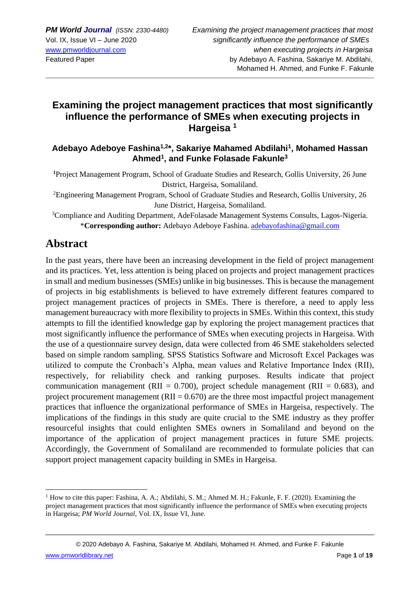## **Examining the project management practices that most significantly influence the performance of SMEs when executing projects in Hargeisa <sup>1</sup>**

**Adebayo Adeboye Fashina1,2 \*, Sakariye Mahamed Abdilahi<sup>1</sup> , Mohamed Hassan Ahmed<sup>1</sup> , and Funke Folasade Fakunle<sup>3</sup>**

**<sup>1</sup>**Project Management Program, School of Graduate Studies and Research, Gollis University, 26 June District, Hargeisa, Somaliland.

<sup>2</sup>Engineering Management Program, School of Graduate Studies and Research, Gollis University, 26 June District, Hargeisa, Somaliland.

<sup>3</sup>Compliance and Auditing Department, AdeFolasade Management Systems Consults, Lagos-Nigeria. \***Corresponding author:** Adebayo Adeboye Fashina. [adebayofashina@gmail.com](mailto:adebayofashina@gmail.com)

## **Abstract**

In the past years, there have been an increasing development in the field of project management and its practices. Yet, less attention is being placed on projects and project management practices in small and medium businesses (SMEs) unlike in big businesses. This is because the management of projects in big establishments is believed to have extremely different features compared to project management practices of projects in SMEs. There is therefore, a need to apply less management bureaucracy with more flexibility to projects in SMEs. Within this context, this study attempts to fill the identified knowledge gap by exploring the project management practices that most significantly influence the performance of SMEs when executing projects in Hargeisa. With the use of a questionnaire survey design, data were collected from 46 SME stakeholders selected based on simple random sampling. SPSS Statistics Software and Microsoft Excel Packages was utilized to compute the Cronbach's Alpha, mean values and Relative Importance Index (RII), respectively, for reliability check and ranking purposes. Results indicate that project communication management (RII =  $0.700$ ), project schedule management (RII = 0.683), and project procurement management ( $RII = 0.670$ ) are the three most impactful project management practices that influence the organizational performance of SMEs in Hargeisa, respectively. The implications of the findings in this study are quite crucial to the SME industry as they proffer resourceful insights that could enlighten SMEs owners in Somaliland and beyond on the importance of the application of project management practices in future SME projects. Accordingly, the Government of Somaliland are recommended to formulate policies that can support project management capacity building in SMEs in Hargeisa.

<sup>&</sup>lt;sup>1</sup> How to cite this paper: Fashina, A. A.; Abdilahi, S. M.; Ahmed M. H.; Fakunle, F. F. (2020). Examining the project management practices that most significantly influence the performance of SMEs when executing projects in Hargeisa; *PM World Journal*, Vol. IX, Issue VI, June.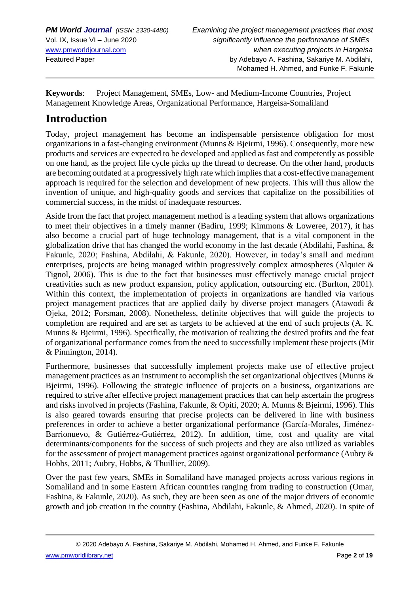**Keywords**: Project Management, SMEs, Low- and Medium-Income Countries, Project Management Knowledge Areas, Organizational Performance, Hargeisa-Somaliland

# **Introduction**

Today, project management has become an indispensable persistence obligation for most organizations in a fast-changing environment (Munns & Bjeirmi, 1996). Consequently, more new products and services are expected to be developed and applied as fast and competently as possible on one hand, as the project life cycle picks up the thread to decrease. On the other hand, products are becoming outdated at a progressively high rate which implies that a cost-effective management approach is required for the selection and development of new projects. This will thus allow the invention of unique, and high-quality goods and services that capitalize on the possibilities of commercial success, in the midst of inadequate resources.

Aside from the fact that project management method is a leading system that allows organizations to meet their objectives in a timely manner (Badiru, 1999; Kimmons & Loweree, 2017), it has also become a crucial part of huge technology management, that is a vital component in the globalization drive that has changed the world economy in the last decade (Abdilahi, Fashina, & Fakunle, 2020; Fashina, Abdilahi, & Fakunle, 2020). However, in today's small and medium enterprises, projects are being managed within progressively complex atmospheres (Alquier & Tignol, 2006). This is due to the fact that businesses must effectively manage crucial project creativities such as new product expansion, policy application, outsourcing etc. (Burlton, 2001). Within this context, the implementation of projects in organizations are handled via various project management practices that are applied daily by diverse project managers (Atawodi & Ojeka, 2012; Forsman, 2008). Nonetheless, definite objectives that will guide the projects to completion are required and are set as targets to be achieved at the end of such projects (A. K. Munns & Bjeirmi, 1996). Specifically, the motivation of realizing the desired profits and the feat of organizational performance comes from the need to successfully implement these projects (Mir & Pinnington, 2014).

Furthermore, businesses that successfully implement projects make use of effective project management practices as an instrument to accomplish the set organizational objectives (Munns & Bjeirmi, 1996). Following the strategic influence of projects on a business, organizations are required to strive after effective project management practices that can help ascertain the progress and risks involved in projects (Fashina, Fakunle, & Opiti, 2020; A. Munns & Bjeirmi, 1996). This is also geared towards ensuring that precise projects can be delivered in line with business preferences in order to achieve a better organizational performance (García-Morales, Jiménez-Barrionuevo, & Gutiérrez-Gutiérrez, 2012). In addition, time, cost and quality are vital determinants/components for the success of such projects and they are also utilized as variables for the assessment of project management practices against organizational performance (Aubry & Hobbs, 2011; Aubry, Hobbs, & Thuillier, 2009).

Over the past few years, SMEs in Somaliland have managed projects across various regions in Somaliland and in some Eastern African countries ranging from trading to construction (Omar, Fashina, & Fakunle, 2020). As such, they are been seen as one of the major drivers of economic growth and job creation in the country (Fashina, Abdilahi, Fakunle, & Ahmed, 2020). In spite of

© 2020 Adebayo A. Fashina, Sakariye M. Abdilahi, Mohamed H. Ahmed, and Funke F. Fakunle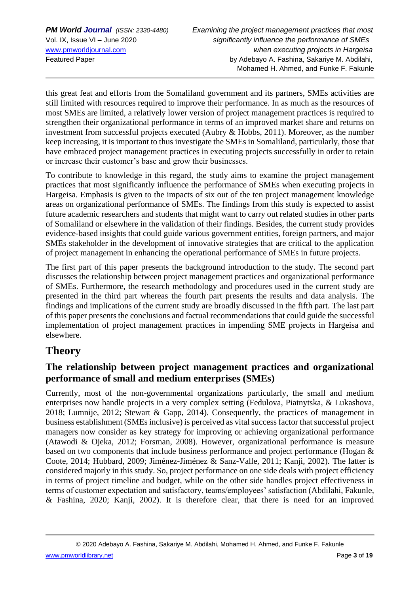this great feat and efforts from the Somaliland government and its partners, SMEs activities are still limited with resources required to improve their performance. In as much as the resources of most SMEs are limited, a relatively lower version of project management practices is required to strengthen their organizational performance in terms of an improved market share and returns on investment from successful projects executed (Aubry & Hobbs, 2011). Moreover, as the number keep increasing, it is important to thus investigate the SMEs in Somaliland, particularly, those that have embraced project management practices in executing projects successfully in order to retain or increase their customer's base and grow their businesses.

To contribute to knowledge in this regard, the study aims to examine the project management practices that most significantly influence the performance of SMEs when executing projects in Hargeisa. Emphasis is given to the impacts of six out of the ten project management knowledge areas on organizational performance of SMEs. The findings from this study is expected to assist future academic researchers and students that might want to carry out related studies in other parts of Somaliland or elsewhere in the validation of their findings. Besides, the current study provides evidence-based insights that could guide various government entities, foreign partners, and major SMEs stakeholder in the development of innovative strategies that are critical to the application of project management in enhancing the operational performance of SMEs in future projects.

The first part of this paper presents the background introduction to the study. The second part discusses the relationship between project management practices and organizational performance of SMEs. Furthermore, the research methodology and procedures used in the current study are presented in the third part whereas the fourth part presents the results and data analysis. The findings and implications of the current study are broadly discussed in the fifth part. The last part of this paper presents the conclusions and factual recommendations that could guide the successful implementation of project management practices in impending SME projects in Hargeisa and elsewhere.

# **Theory**

## **The relationship between project management practices and organizational performance of small and medium enterprises (SMEs)**

Currently, most of the non-governmental organizations particularly, the small and medium enterprises now handle projects in a very complex setting (Fedulova, Piatnytska, & Lukashova, 2018; Lumnije, 2012; Stewart & Gapp, 2014). Consequently, the practices of management in business establishment (SMEs inclusive) is perceived as vital success factor that successful project managers now consider as key strategy for improving or achieving organizational performance (Atawodi & Ojeka, 2012; Forsman, 2008). However, organizational performance is measure based on two components that include business performance and project performance (Hogan & Coote, 2014; Hubbard, 2009; Jiménez-Jiménez & Sanz-Valle, 2011; Kanji, 2002). The latter is considered majorly in this study. So, project performance on one side deals with project efficiency in terms of project timeline and budget, while on the other side handles project effectiveness in terms of customer expectation and satisfactory, teams/employees' satisfaction (Abdilahi, Fakunle, & Fashina, 2020; Kanji, 2002). It is therefore clear, that there is need for an improved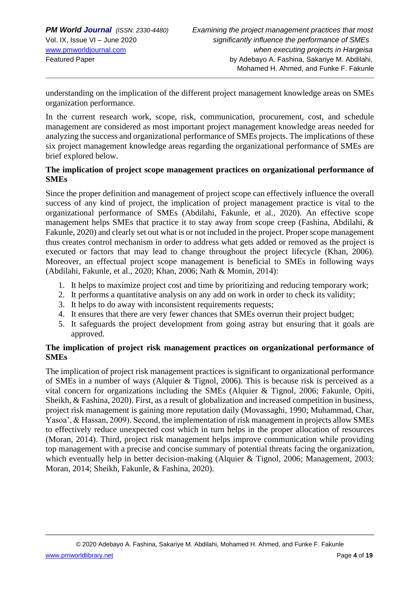understanding on the implication of the different project management knowledge areas on SMEs organization performance.

In the current research work, scope, risk, communication, procurement, cost, and schedule management are considered as most important project management knowledge areas needed for analyzing the success and organizational performance of SMEs projects. The implications of these six project management knowledge areas regarding the organizational performance of SMEs are brief explored below.

### **The implication of project scope management practices on organizational performance of SMEs**

Since the proper definition and management of project scope can effectively influence the overall success of any kind of project, the implication of project management practice is vital to the organizational performance of SMEs (Abdilahi, Fakunle, et al., 2020). An effective scope management helps SMEs that practice it to stay away from scope creep (Fashina, Abdilahi, & Fakunle, 2020) and clearly set out what is or not included in the project. Proper scope management thus creates control mechanism in order to address what gets added or removed as the project is executed or factors that may lead to change throughout the project lifecycle (Khan, 2006). Moreover, an effectual project scope management is beneficial to SMEs in following ways (Abdilahi, Fakunle, et al., 2020; Khan, 2006; Nath & Momin, 2014):

- 1. It helps to maximize project cost and time by prioritizing and reducing temporary work;
- 2. It performs a quantitative analysis on any add on work in order to check its validity;
- 3. It helps to do away with inconsistent requirements requests;
- 4. It ensures that there are very fewer chances that SMEs overrun their project budget;
- 5. It safeguards the project development from going astray but ensuring that it goals are approved.

### **The implication of project risk management practices on organizational performance of SMEs**

The implication of project risk management practices is significant to organizational performance of SMEs in a number of ways (Alquier & Tignol, 2006). This is because risk is perceived as a vital concern for organizations including the SMEs (Alquier & Tignol, 2006; Fakunle, Opiti, Sheikh, & Fashina, 2020). First, as a result of globalization and increased competition in business, project risk management is gaining more reputation daily (Movassaghi, 1990; Muhammad, Char, Yasoa', & Hassan, 2009). Second, the implementation of risk management in projects allow SMEs to effectively reduce unexpected cost which in turn helps in the proper allocation of resources (Moran, 2014). Third, project risk management helps improve communication while providing top management with a precise and concise summary of potential threats facing the organization, which eventually help in better decision-making (Alquier & Tignol, 2006; Management, 2003; Moran, 2014; Sheikh, Fakunle, & Fashina, 2020).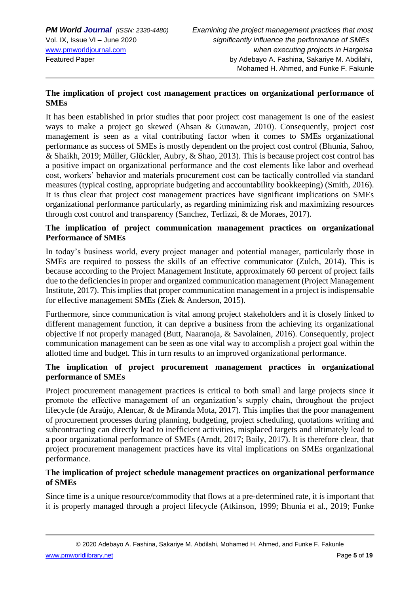### **The implication of project cost management practices on organizational performance of SMEs**

It has been established in prior studies that poor project cost management is one of the easiest ways to make a project go skewed (Ahsan & Gunawan, 2010). Consequently, project cost management is seen as a vital contributing factor when it comes to SMEs organizational performance as success of SMEs is mostly dependent on the project cost control (Bhunia, Sahoo, & Shaikh, 2019; Müller, Glückler, Aubry, & Shao, 2013). This is because project cost control has a positive impact on organizational performance and the cost elements like labor and overhead cost, workers' behavior and materials procurement cost can be tactically controlled via standard measures (typical costing, appropriate budgeting and accountability bookkeeping) (Smith, 2016). It is thus clear that project cost management practices have significant implications on SMEs organizational performance particularly, as regarding minimizing risk and maximizing resources through cost control and transparency (Sanchez, Terlizzi, & de Moraes, 2017).

### **The implication of project communication management practices on organizational Performance of SMEs**

In today's business world, every project manager and potential manager, particularly those in SMEs are required to possess the skills of an effective communicator (Zulch, 2014). This is because according to the Project Management Institute, approximately 60 percent of project fails due to the deficiencies in proper and organized communication management (Project Management Institute, 2017). This implies that proper communication management in a project is indispensable for effective management SMEs (Ziek & Anderson, 2015).

Furthermore, since communication is vital among project stakeholders and it is closely linked to different management function, it can deprive a business from the achieving its organizational objective if not properly managed (Butt, Naaranoja, & Savolainen, 2016). Consequently, project communication management can be seen as one vital way to accomplish a project goal within the allotted time and budget. This in turn results to an improved organizational performance.

### **The implication of project procurement management practices in organizational performance of SMEs**

Project procurement management practices is critical to both small and large projects since it promote the effective management of an organization's supply chain, throughout the project lifecycle (de Araújo, Alencar, & de Miranda Mota, 2017). This implies that the poor management of procurement processes during planning, budgeting, project scheduling, quotations writing and subcontracting can directly lead to inefficient activities, misplaced targets and ultimately lead to a poor organizational performance of SMEs (Arndt, 2017; Baily, 2017). It is therefore clear, that project procurement management practices have its vital implications on SMEs organizational performance.

### **The implication of project schedule management practices on organizational performance of SMEs**

Since time is a unique resource/commodity that flows at a pre-determined rate, it is important that it is properly managed through a project lifecycle (Atkinson, 1999; Bhunia et al., 2019; Funke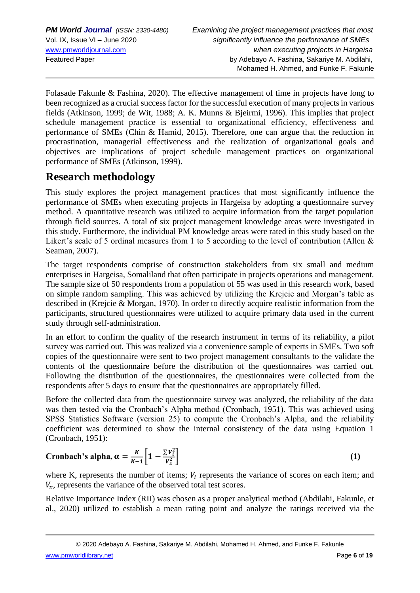Folasade Fakunle & Fashina, 2020). The effective management of time in projects have long to been recognized as a crucial success factor for the successful execution of many projects in various fields (Atkinson, 1999; de Wit, 1988; A. K. Munns & Bjeirmi, 1996). This implies that project schedule management practice is essential to organizational efficiency, effectiveness and performance of SMEs (Chin & Hamid, 2015). Therefore, one can argue that the reduction in procrastination, managerial effectiveness and the realization of organizational goals and objectives are implications of project schedule management practices on organizational performance of SMEs (Atkinson, 1999).

# **Research methodology**

This study explores the project management practices that most significantly influence the performance of SMEs when executing projects in Hargeisa by adopting a questionnaire survey method. A quantitative research was utilized to acquire information from the target population through field sources. A total of six project management knowledge areas were investigated in this study. Furthermore, the individual PM knowledge areas were rated in this study based on the Likert's scale of 5 ordinal measures from 1 to 5 according to the level of contribution (Allen & Seaman, 2007).

The target respondents comprise of construction stakeholders from six small and medium enterprises in Hargeisa, Somaliland that often participate in projects operations and management. The sample size of 50 respondents from a population of 55 was used in this research work, based on simple random sampling. This was achieved by utilizing the Krejcie and Morgan's table as described in (Krejcie & Morgan, 1970). In order to directly acquire realistic information from the participants, structured questionnaires were utilized to acquire primary data used in the current study through self-administration.

In an effort to confirm the quality of the research instrument in terms of its reliability, a pilot survey was carried out. This was realized via a convenience sample of experts in SMEs. Two soft copies of the questionnaire were sent to two project management consultants to the validate the contents of the questionnaire before the distribution of the questionnaires was carried out. Following the distribution of the questionnaires, the questionnaires were collected from the respondents after 5 days to ensure that the questionnaires are appropriately filled.

Before the collected data from the questionnaire survey was analyzed, the reliability of the data was then tested via the Cronbach's Alpha method (Cronbach, 1951). This was achieved using SPSS Statistics Software (version 25) to compute the Cronbach's Alpha, and the reliability coefficient was determined to show the internal consistency of the data using Equation 1 (Cronbach, 1951):

Cronbach's alpha, 
$$
\alpha = \frac{K}{K-1} \left[ 1 - \frac{\sum v_i^2}{v_x^2} \right]
$$
 (1)

where K, represents the number of items;  $V_i$  represents the variance of scores on each item; and  $V_r$ , represents the variance of the observed total test scores.

Relative Importance Index (RII) was chosen as a proper analytical method (Abdilahi, Fakunle, et al., 2020) utilized to establish a mean rating point and analyze the ratings received via the

[www.pmworldlibrary.net](http://www.pmworldlibrary.net/) Page **6** of **19**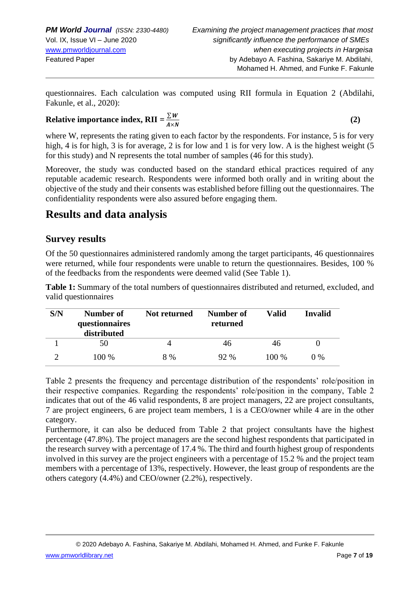questionnaires. Each calculation was computed using RII formula in Equation 2 (Abdilahi, Fakunle, et al., 2020):

#### **Relative importance index, RII** =  $\frac{\sum W}{\sum x_i}$  $A \times N$

**(2)**

where W, represents the rating given to each factor by the respondents. For instance, 5 is for very high, 4 is for high, 3 is for average, 2 is for low and 1 is for very low. A is the highest weight (5 for this study) and N represents the total number of samples (46 for this study).

Moreover, the study was conducted based on the standard ethical practices required of any reputable academic research. Respondents were informed both orally and in writing about the objective of the study and their consents was established before filling out the questionnaires. The confidentiality respondents were also assured before engaging them.

# **Results and data analysis**

## **Survey results**

Of the 50 questionnaires administered randomly among the target participants, 46 questionnaires were returned, while four respondents were unable to return the questionnaires. Besides, 100 % of the feedbacks from the respondents were deemed valid (See Table 1).

**Table 1:** Summary of the total numbers of questionnaires distributed and returned, excluded, and valid questionnaires

| S/N | Number of<br>questionnaires<br>distributed | <b>Not returned</b> | Number of<br>returned | Valid   | Invalid |
|-----|--------------------------------------------|---------------------|-----------------------|---------|---------|
|     | 50                                         |                     | 46                    | 46      |         |
|     | 100 %                                      | 8 %                 | 92%                   | $100\%$ | $0\%$   |

Table 2 presents the frequency and percentage distribution of the respondents' role/position in their respective companies. Regarding the respondents' role/position in the company, Table 2 indicates that out of the 46 valid respondents, 8 are project managers, 22 are project consultants, 7 are project engineers, 6 are project team members, 1 is a CEO/owner while 4 are in the other category.

Furthermore, it can also be deduced from Table 2 that project consultants have the highest percentage (47.8%). The project managers are the second highest respondents that participated in the research survey with a percentage of 17.4 %. The third and fourth highest group of respondents involved in this survey are the project engineers with a percentage of 15.2 % and the project team members with a percentage of 13%, respectively. However, the least group of respondents are the others category (4.4%) and CEO/owner (2.2%), respectively.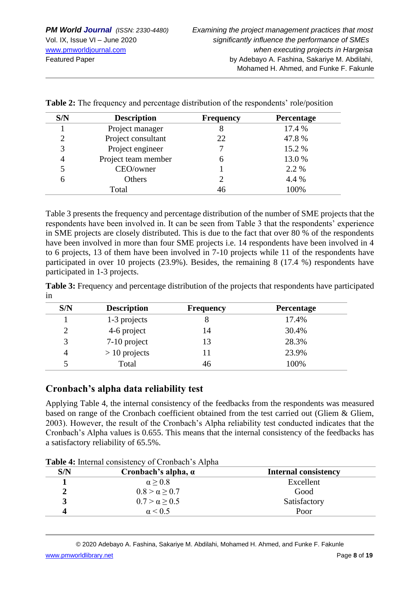| S/N | <b>Description</b>  | <b>Frequency</b> | Percentage |
|-----|---------------------|------------------|------------|
|     | Project manager     |                  | 17.4 %     |
| 2   | Project consultant  | 22               | 47.8%      |
| 3   | Project engineer    |                  | 15.2 %     |
|     | Project team member | h                | 13.0 %     |
|     | CEO/owner           |                  | 2.2 %      |
| 6   | Others              |                  | 4.4 %      |
|     | Total               | 46               | 100%       |

**Table 2:** The frequency and percentage distribution of the respondents' role/position

Table 3 presents the frequency and percentage distribution of the number of SME projects that the respondents have been involved in. It can be seen from Table 3 that the respondents' experience in SME projects are closely distributed. This is due to the fact that over 80 % of the respondents have been involved in more than four SME projects i.e. 14 respondents have been involved in 4 to 6 projects, 13 of them have been involved in 7-10 projects while 11 of the respondents have participated in over 10 projects (23.9%). Besides, the remaining 8 (17.4 %) respondents have participated in 1-3 projects.

**Table 3:** Frequency and percentage distribution of the projects that respondents have participated in

| S/N | <b>Description</b> | <b>Frequency</b> | Percentage |
|-----|--------------------|------------------|------------|
|     | 1-3 projects       |                  | 17.4%      |
|     | 4-6 project        | 14               | 30.4%      |
|     | 7-10 project       | 13               | 28.3%      |
|     | $> 10$ projects    |                  | 23.9%      |
|     | Total              | 46               | 100%       |

### **Cronbach's alpha data reliability test**

Applying Table 4, the internal consistency of the feedbacks from the respondents was measured based on range of the Cronbach coefficient obtained from the test carried out (Gliem & Gliem, 2003). However, the result of the Cronbach's Alpha reliability test conducted indicates that the Cronbach's Alpha values is 0.655. This means that the internal consistency of the feedbacks has a satisfactory reliability of 65.5%.

| S/N | Cronbach's alpha, $\alpha$ | <b>Internal consistency</b> |
|-----|----------------------------|-----------------------------|
|     | $\alpha \geq 0.8$          | Excellent                   |
|     | $0.8 > \alpha > 0.7$       | Good                        |
| 3   | $0.7 > \alpha \ge 0.5$     | Satisfactory                |
|     | $\alpha$ < 0.5             | Poor                        |

**Table 4:** Internal consistency of Cronbach's Alpha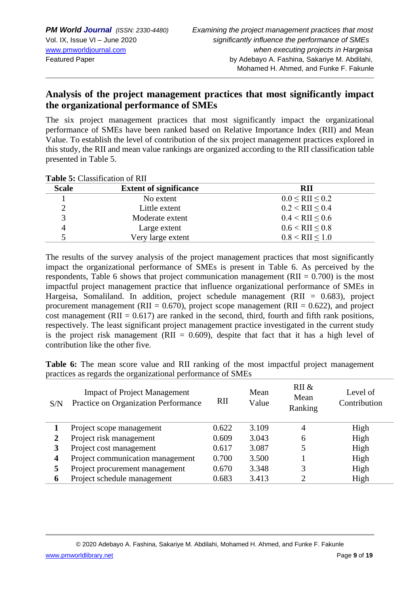## **Analysis of the project management practices that most significantly impact the organizational performance of SMEs**

The six project management practices that most significantly impact the organizational performance of SMEs have been ranked based on Relative Importance Index (RII) and Mean Value. To establish the level of contribution of the six project management practices explored in this study, the RII and mean value rankings are organized according to the RII classification table presented in Table 5.

**Table 5:** Classification of RII

| <b>Scale</b> | <b>Extent of significance</b> | <b>RII</b>             |
|--------------|-------------------------------|------------------------|
|              | No extent                     | $0.0 <$ RII $\le 0.2$  |
|              | Little extent                 | $0.2 <$ RII $\leq 0.4$ |
|              | Moderate extent               | $0.4 <$ RII $\leq 0.6$ |
| 4            | Large extent                  | $0.6 <$ RII $\leq 0.8$ |
|              | Very large extent             | $0.8 <$ RII $< 1.0$    |

The results of the survey analysis of the project management practices that most significantly impact the organizational performance of SMEs is present in Table 6. As perceived by the respondents, Table 6 shows that project communication management (RII =  $0.700$ ) is the most impactful project management practice that influence organizational performance of SMEs in Hargeisa, Somaliland. In addition, project schedule management (RII =  $0.683$ ), project procurement management (RII =  $0.670$ ), project scope management (RII =  $0.622$ ), and project cost management (RII =  $0.617$ ) are ranked in the second, third, fourth and fifth rank positions, respectively. The least significant project management practice investigated in the current study is the project risk management (RII =  $0.609$ ), despite that fact that it has a high level of contribution like the other five.

**Table 6:** The mean score value and RII ranking of the most impactful project management practices as regards the organizational performance of SMEs

| S/N | <b>Impact of Project Management</b><br>Practice on Organization Performance | RII   | Mean<br>Value | RII &<br>Mean<br>Ranking | Level of<br>Contribution |
|-----|-----------------------------------------------------------------------------|-------|---------------|--------------------------|--------------------------|
|     | Project scope management                                                    | 0.622 | 3.109         | 4                        | High                     |
|     | Project risk management                                                     | 0.609 | 3.043         | 6                        | High                     |
|     | Project cost management                                                     | 0.617 | 3.087         |                          | High                     |
| 4   | Project communication management                                            | 0.700 | 3.500         |                          | High                     |
| 5   | Project procurement management                                              | 0.670 | 3.348         |                          | High                     |
| 6   | Project schedule management                                                 | 0.683 | 3.413         |                          | High                     |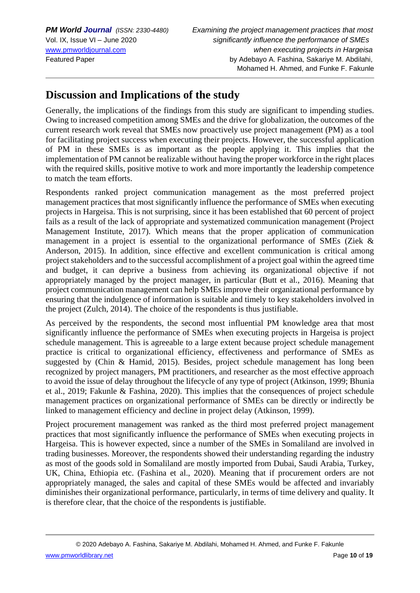## **Discussion and Implications of the study**

Generally, the implications of the findings from this study are significant to impending studies. Owing to increased competition among SMEs and the drive for globalization, the outcomes of the current research work reveal that SMEs now proactively use project management (PM) as a tool for facilitating project success when executing their projects. However, the successful application of PM in these SMEs is as important as the people applying it. This implies that the implementation of PM cannot be realizable without having the proper workforce in the right places with the required skills, positive motive to work and more importantly the leadership competence to match the team efforts.

Respondents ranked project communication management as the most preferred project management practices that most significantly influence the performance of SMEs when executing projects in Hargeisa. This is not surprising, since it has been established that 60 percent of project fails as a result of the lack of appropriate and systematized communication management (Project Management Institute, 2017). Which means that the proper application of communication management in a project is essential to the organizational performance of SMEs (Ziek & Anderson, 2015). In addition, since effective and excellent communication is critical among project stakeholders and to the successful accomplishment of a project goal within the agreed time and budget, it can deprive a business from achieving its organizational objective if not appropriately managed by the project manager, in particular (Butt et al., 2016). Meaning that project communication management can help SMEs improve their organizational performance by ensuring that the indulgence of information is suitable and timely to key stakeholders involved in the project (Zulch, 2014). The choice of the respondents is thus justifiable.

As perceived by the respondents, the second most influential PM knowledge area that most significantly influence the performance of SMEs when executing projects in Hargeisa is project schedule management. This is agreeable to a large extent because project schedule management practice is critical to organizational efficiency, effectiveness and performance of SMEs as suggested by (Chin & Hamid, 2015). Besides, project schedule management has long been recognized by project managers, PM practitioners, and researcher as the most effective approach to avoid the issue of delay throughout the lifecycle of any type of project (Atkinson, 1999; Bhunia et al., 2019; Fakunle & Fashina, 2020). This implies that the consequences of project schedule management practices on organizational performance of SMEs can be directly or indirectly be linked to management efficiency and decline in project delay (Atkinson, 1999).

Project procurement management was ranked as the third most preferred project management practices that most significantly influence the performance of SMEs when executing projects in Hargeisa. This is however expected, since a number of the SMEs in Somaliland are involved in trading businesses. Moreover, the respondents showed their understanding regarding the industry as most of the goods sold in Somaliland are mostly imported from Dubai, Saudi Arabia, Turkey, UK, China, Ethiopia etc. (Fashina et al., 2020). Meaning that if procurement orders are not appropriately managed, the sales and capital of these SMEs would be affected and invariably diminishes their organizational performance, particularly, in terms of time delivery and quality. It is therefore clear, that the choice of the respondents is justifiable.

© 2020 Adebayo A. Fashina, Sakariye M. Abdilahi, Mohamed H. Ahmed, and Funke F. Fakunle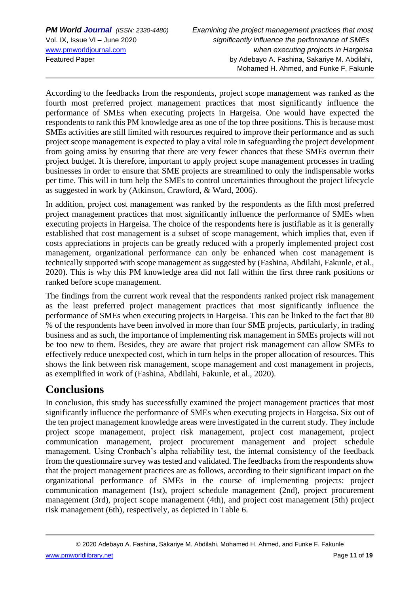According to the feedbacks from the respondents, project scope management was ranked as the fourth most preferred project management practices that most significantly influence the performance of SMEs when executing projects in Hargeisa. One would have expected the respondents to rank this PM knowledge area as one of the top three positions. This is because most SMEs activities are still limited with resources required to improve their performance and as such project scope management is expected to play a vital role in safeguarding the project development from going amiss by ensuring that there are very fewer chances that these SMEs overrun their project budget. It is therefore, important to apply project scope management processes in trading businesses in order to ensure that SME projects are streamlined to only the indispensable works per time. This will in turn help the SMEs to control uncertainties throughout the project lifecycle as suggested in work by (Atkinson, Crawford, & Ward, 2006).

In addition, project cost management was ranked by the respondents as the fifth most preferred project management practices that most significantly influence the performance of SMEs when executing projects in Hargeisa. The choice of the respondents here is justifiable as it is generally established that cost management is a subset of scope management, which implies that, even if costs appreciations in projects can be greatly reduced with a properly implemented project cost management, organizational performance can only be enhanced when cost management is technically supported with scope management as suggested by (Fashina, Abdilahi, Fakunle, et al., 2020). This is why this PM knowledge area did not fall within the first three rank positions or ranked before scope management.

The findings from the current work reveal that the respondents ranked project risk management as the least preferred project management practices that most significantly influence the performance of SMEs when executing projects in Hargeisa. This can be linked to the fact that 80 % of the respondents have been involved in more than four SME projects, particularly, in trading business and as such, the importance of implementing risk management in SMEs projects will not be too new to them. Besides, they are aware that project risk management can allow SMEs to effectively reduce unexpected cost, which in turn helps in the proper allocation of resources. This shows the link between risk management, scope management and cost management in projects, as exemplified in work of (Fashina, Abdilahi, Fakunle, et al., 2020).

# **Conclusions**

In conclusion, this study has successfully examined the project management practices that most significantly influence the performance of SMEs when executing projects in Hargeisa. Six out of the ten project management knowledge areas were investigated in the current study. They include project scope management, project risk management, project cost management, project communication management, project procurement management and project schedule management. Using Cronbach's alpha reliability test, the internal consistency of the feedback from the questionnaire survey was tested and validated. The feedbacks from the respondents show that the project management practices are as follows, according to their significant impact on the organizational performance of SMEs in the course of implementing projects: project communication management (1st), project schedule management (2nd), project procurement management (3rd), project scope management (4th), and project cost management (5th) project risk management (6th), respectively, as depicted in Table 6.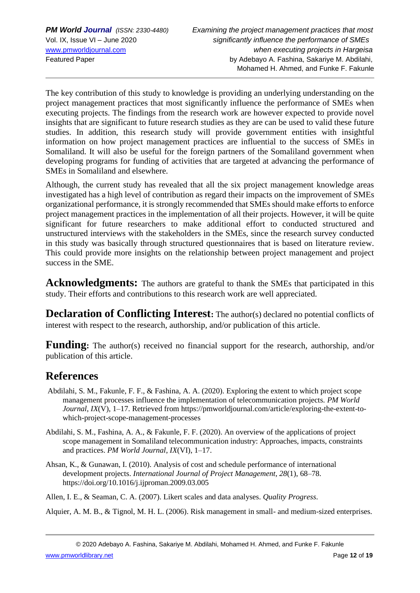The key contribution of this study to knowledge is providing an underlying understanding on the project management practices that most significantly influence the performance of SMEs when executing projects. The findings from the research work are however expected to provide novel insights that are significant to future research studies as they are can be used to valid these future studies. In addition, this research study will provide government entities with insightful information on how project management practices are influential to the success of SMEs in Somaliland. It will also be useful for the foreign partners of the Somaliland government when developing programs for funding of activities that are targeted at advancing the performance of SMEs in Somaliland and elsewhere.

Although, the current study has revealed that all the six project management knowledge areas investigated has a high level of contribution as regard their impacts on the improvement of SMEs organizational performance, it is strongly recommended that SMEs should make efforts to enforce project management practices in the implementation of all their projects. However, it will be quite significant for future researchers to make additional effort to conducted structured and unstructured interviews with the stakeholders in the SMEs, since the research survey conducted in this study was basically through structured questionnaires that is based on literature review. This could provide more insights on the relationship between project management and project success in the SME.

**Acknowledgments:** The authors are grateful to thank the SMEs that participated in this study. Their efforts and contributions to this research work are well appreciated.

**Declaration of Conflicting Interest:** The author(s) declared no potential conflicts of interest with respect to the research, authorship, and/or publication of this article.

**Funding:** The author(s) received no financial support for the research, authorship, and/or publication of this article.

## **References**

- Abdilahi, S. M., Fakunle, F. F., & Fashina, A. A. (2020). Exploring the extent to which project scope management processes influence the implementation of telecommunication projects. *PM World Journal*, *IX*(V), 1–17. Retrieved from https://pmworldjournal.com/article/exploring-the-extent-towhich-project-scope-management-processes
- Abdilahi, S. M., Fashina, A. A., & Fakunle, F. F. (2020). An overview of the applications of project scope management in Somaliland telecommunication industry: Approaches, impacts, constraints and practices. *PM World Journal*, *IX*(VI), 1–17.
- Ahsan, K., & Gunawan, I. (2010). Analysis of cost and schedule performance of international development projects. *International Journal of Project Management*, *28*(1), 68–78. https://doi.org/10.1016/j.ijproman.2009.03.005

Allen, I. E., & Seaman, C. A. (2007). Likert scales and data analyses. *Quality Progress*.

Alquier, A. M. B., & Tignol, M. H. L. (2006). Risk management in small- and medium-sized enterprises.

[www.pmworldlibrary.net](http://www.pmworldlibrary.net/) Page **12** of **19**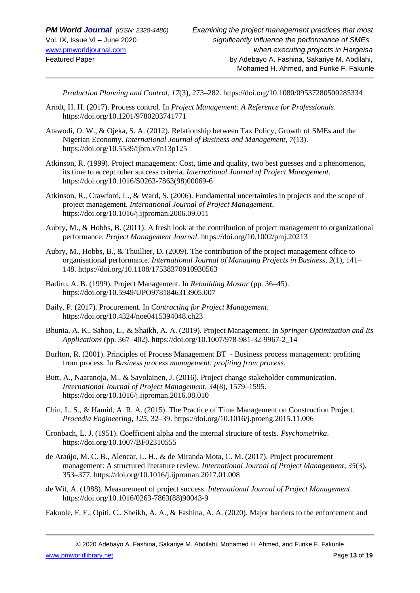*Production Planning and Control*, *17*(3), 273–282. https://doi.org/10.1080/09537280500285334

- Arndt, H. H. (2017). Process control. In *Project Management: A Reference for Professionals*. https://doi.org/10.1201/9780203741771
- Atawodi, O. W., & Ojeka, S. A. (2012). Relationship between Tax Policy, Growth of SMEs and the Nigerian Economy. *International Journal of Business and Management*, *7*(13). https://doi.org/10.5539/ijbm.v7n13p125
- Atkinson, R. (1999). Project management: Cost, time and quality, two best guesses and a phenomenon, its time to accept other success criteria. *International Journal of Project Management*. https://doi.org/10.1016/S0263-7863(98)00069-6
- Atkinson, R., Crawford, L., & Ward, S. (2006). Fundamental uncertainties in projects and the scope of project management. *International Journal of Project Management*. https://doi.org/10.1016/j.ijproman.2006.09.011
- Aubry, M., & Hobbs, B. (2011). A fresh look at the contribution of project management to organizational performance. *Project Management Journal*. https://doi.org/10.1002/pmj.20213
- Aubry, M., Hobbs, B., & Thuillier, D. (2009). The contribution of the project management office to organisational performance. *International Journal of Managing Projects in Business*, *2*(1), 141– 148. https://doi.org/10.1108/17538370910930563
- Badiru, A. B. (1999). Project Management. In *Rebuilding Mostar* (pp. 36–45). https://doi.org/10.5949/UPO9781846313905.007
- Baily, P. (2017). Procurement. In *Contracting for Project Management*. https://doi.org/10.4324/noe0415394048.ch23
- Bhunia, A. K., Sahoo, L., & Shaikh, A. A. (2019). Project Management. In *Springer Optimization and Its Applications* (pp. 367–402). https://doi.org/10.1007/978-981-32-9967-2\_14
- Burlton, R. (2001). Principles of Process Management BT Business process management: profiting from process. In *Business process management: profiting from process*.
- Butt, A., Naaranoja, M., & Savolainen, J. (2016). Project change stakeholder communication. *International Journal of Project Management*, *34*(8), 1579–1595. https://doi.org/10.1016/j.ijproman.2016.08.010
- Chin, L. S., & Hamid, A. R. A. (2015). The Practice of Time Management on Construction Project. *Procedia Engineering*, *125*, 32–39. https://doi.org/10.1016/j.proeng.2015.11.006
- Cronbach, L. J. (1951). Coefficient alpha and the internal structure of tests. *Psychometrika*. https://doi.org/10.1007/BF02310555
- de Araújo, M. C. B., Alencar, L. H., & de Miranda Mota, C. M. (2017). Project procurement management: A structured literature review. *International Journal of Project Management*, *35*(3), 353–377. https://doi.org/10.1016/j.ijproman.2017.01.008
- de Wit, A. (1988). Measurement of project success. *International Journal of Project Management*. https://doi.org/10.1016/0263-7863(88)90043-9

Fakunle, F. F., Opiti, C., Sheikh, A. A., & Fashina, A. A. (2020). Major barriers to the enforcement and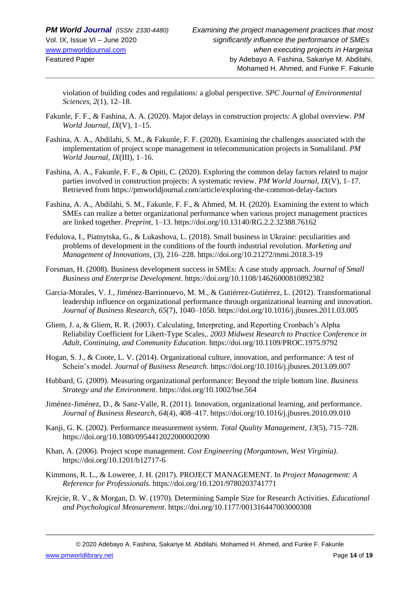violation of building codes and regulations: a global perspective. *SPC Journal of Environmental Sciences*, *2*(1), 12–18.

- Fakunle, F. F., & Fashina, A. A. (2020). Major delays in construction projects: A global overview. *PM World Journal*, *IX*(V), 1–15.
- Fashina, A. A., Abdilahi, S. M., & Fakunle, F. F. (2020). Examining the challenges associated with the implementation of project scope management in telecommunication projects in Somaliland. *PM World Journal*, *IX*(III), 1–16.
- Fashina, A. A., Fakunle, F. F., & Opiti, C. (2020). Exploring the common delay factors related to major parties involved in construction projects: A systematic review. *PM World Journal*, *IX*(V), 1–17. Retrieved from https://pmworldjournal.com/article/exploring-the-common-delay-factors
- Fashina, A. A., Abdilahi, S. M., Fakunle, F. F., & Ahmed, M. H. (2020). Examining the extent to which SMEs can realize a better organizational performance when various project management practices are linked together. *Preprint*, 1–13. https://doi.org/10.13140/RG.2.2.32388.76162
- Fedulova, I., Piatnytska, G., & Lukashova, L. (2018). Small business in Ukraine: peculiarities and problems of development in the conditions of the fourth industrial revolution. *Marketing and Management of Innovations*, (3), 216–228. https://doi.org/10.21272/mmi.2018.3-19
- Forsman, H. (2008). Business development success in SMEs: A case study approach. *Journal of Small Business and Enterprise Development*. https://doi.org/10.1108/14626000810892382
- García-Morales, V. J., Jiménez-Barrionuevo, M. M., & Gutiérrez-Gutiérrez, L. (2012). Transformational leadership influence on organizational performance through organizational learning and innovation. *Journal of Business Research*, *65*(7), 1040–1050. https://doi.org/10.1016/j.jbusres.2011.03.005
- Gliem, J. a, & Gliem, R. R. (2003). Calculating, Interpreting, and Reporting Cronbach's Alpha Reliability Coefficient for Likert-Type Scales,. *2003 Midwest Research to Practice Conference in Adult, Continuing, and Community Education*. https://doi.org/10.1109/PROC.1975.9792
- Hogan, S. J., & Coote, L. V. (2014). Organizational culture, innovation, and performance: A test of Schein's model. *Journal of Business Research*. https://doi.org/10.1016/j.jbusres.2013.09.007
- Hubbard, G. (2009). Measuring organizational performance: Beyond the triple bottom line. *Business Strategy and the Environment*. https://doi.org/10.1002/bse.564
- Jiménez-Jiménez, D., & Sanz-Valle, R. (2011). Innovation, organizational learning, and performance. *Journal of Business Research*, *64*(4), 408–417. https://doi.org/10.1016/j.jbusres.2010.09.010
- Kanji, G. K. (2002). Performance measurement system. *Total Quality Management*, *13*(5), 715–728. https://doi.org/10.1080/0954412022000002090
- Khan, A. (2006). Project scope management. *Cost Engineering (Morgantown, West Virginia)*. https://doi.org/10.1201/b12717-6
- Kimmons, R. L., & Loweree, J. H. (2017). PROJECT MANAGEMENT. In *Project Management: A Reference for Professionals*. https://doi.org/10.1201/9780203741771
- Krejcie, R. V., & Morgan, D. W. (1970). Determining Sample Size for Research Activities. *Educational and Psychological Measurement*. https://doi.org/10.1177/001316447003000308

© 2020 Adebayo A. Fashina, Sakariye M. Abdilahi, Mohamed H. Ahmed, and Funke F. Fakunle

[www.pmworldlibrary.net](http://www.pmworldlibrary.net/) Page **14** of **19**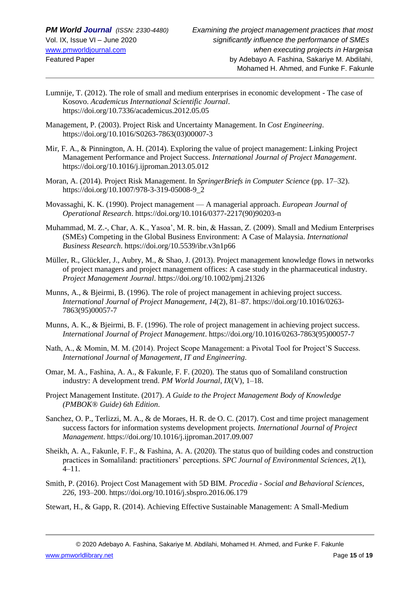- Lumnije, T. (2012). The role of small and medium enterprises in economic development The case of Kosovo. *Academicus International Scientific Journal*. https://doi.org/10.7336/academicus.2012.05.05
- Management, P. (2003). Project Risk and Uncertainty Management. In *Cost Engineering*. https://doi.org/10.1016/S0263-7863(03)00007-3
- Mir, F. A., & Pinnington, A. H. (2014). Exploring the value of project management: Linking Project Management Performance and Project Success. *International Journal of Project Management*. https://doi.org/10.1016/j.ijproman.2013.05.012
- Moran, A. (2014). Project Risk Management. In *SpringerBriefs in Computer Science* (pp. 17–32). https://doi.org/10.1007/978-3-319-05008-9\_2
- Movassaghi, K. K. (1990). Project management A managerial approach. *European Journal of Operational Research*. https://doi.org/10.1016/0377-2217(90)90203-n
- Muhammad, M. Z.-, Char, A. K., Yasoa', M. R. bin, & Hassan, Z. (2009). Small and Medium Enterprises (SMEs) Competing in the Global Business Environment: A Case of Malaysia. *International Business Research*. https://doi.org/10.5539/ibr.v3n1p66
- Müller, R., Glückler, J., Aubry, M., & Shao, J. (2013). Project management knowledge flows in networks of project managers and project management offices: A case study in the pharmaceutical industry. *Project Management Journal*. https://doi.org/10.1002/pmj.21326
- Munns, A., & Bjeirmi, B. (1996). The role of project management in achieving project success. *International Journal of Project Management*, *14*(2), 81–87. https://doi.org/10.1016/0263- 7863(95)00057-7
- Munns, A. K., & Bjeirmi, B. F. (1996). The role of project management in achieving project success. *International Journal of Project Management*. https://doi.org/10.1016/0263-7863(95)00057-7
- Nath, A., & Momin, M. M. (2014). Project Scope Management: a Pivotal Tool for Project'S Success. *International Journal of Management, IT and Engineering*.
- Omar, M. A., Fashina, A. A., & Fakunle, F. F. (2020). The status quo of Somaliland construction industry: A development trend. *PM World Journal*, *IX*(V), 1–18.
- Project Management Institute. (2017). *A Guide to the Project Management Body of Knowledge (PMBOK® Guide) 6th Edition*.
- Sanchez, O. P., Terlizzi, M. A., & de Moraes, H. R. de O. C. (2017). Cost and time project management success factors for information systems development projects. *International Journal of Project Management*. https://doi.org/10.1016/j.ijproman.2017.09.007
- Sheikh, A. A., Fakunle, F. F., & Fashina, A. A. (2020). The status quo of building codes and construction practices in Somaliland: practitioners' perceptions. *SPC Journal of Environmental Sciences*, *2*(1), 4–11.
- Smith, P. (2016). Project Cost Management with 5D BIM. *Procedia - Social and Behavioral Sciences*, *226*, 193–200. https://doi.org/10.1016/j.sbspro.2016.06.179
- Stewart, H., & Gapp, R. (2014). Achieving Effective Sustainable Management: A Small-Medium

[www.pmworldlibrary.net](http://www.pmworldlibrary.net/) Page **15** of **19**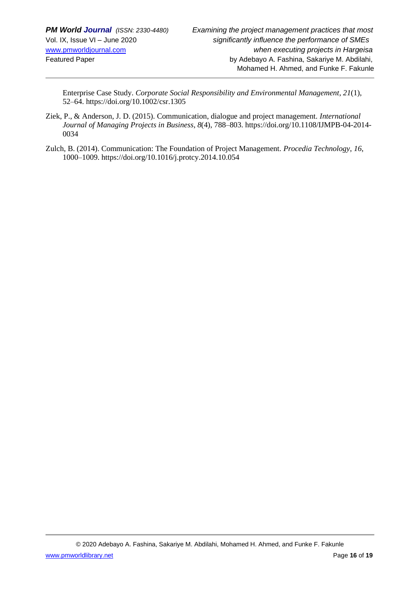Enterprise Case Study. *Corporate Social Responsibility and Environmental Management*, *21*(1), 52–64. https://doi.org/10.1002/csr.1305

- Ziek, P., & Anderson, J. D. (2015). Communication, dialogue and project management. *International Journal of Managing Projects in Business*, *8*(4), 788–803. https://doi.org/10.1108/IJMPB-04-2014- 0034
- Zulch, B. (2014). Communication: The Foundation of Project Management. *Procedia Technology*, *16*, 1000–1009. https://doi.org/10.1016/j.protcy.2014.10.054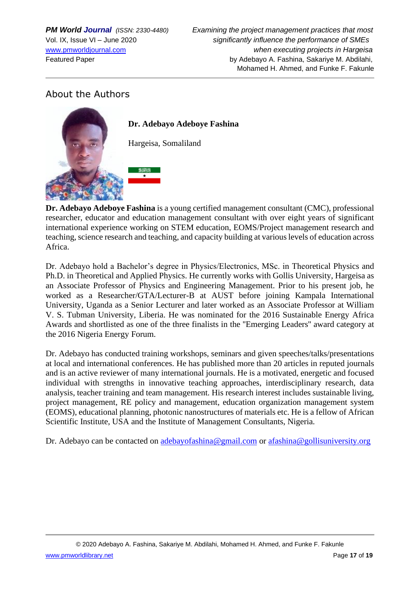## About the Authors



**Dr. Adebayo Adeboye Fashina** is a young certified management consultant (CMC), professional researcher, educator and education management consultant with over eight years of significant international experience working on STEM education, EOMS/Project management research and teaching, science research and teaching, and capacity building at various levels of education across Africa.

Dr. Adebayo hold a Bachelor's degree in Physics/Electronics, MSc. in Theoretical Physics and Ph.D. in Theoretical and Applied Physics. He currently works with Gollis University, Hargeisa as an Associate Professor of Physics and Engineering Management. Prior to his present job, he worked as a Researcher/GTA/Lecturer-B at AUST before joining Kampala International University, Uganda as a Senior Lecturer and later worked as an Associate Professor at William V. S. Tubman University, Liberia. He was nominated for the 2016 Sustainable Energy Africa Awards and shortlisted as one of the three finalists in the ''Emerging Leaders'' award category at the 2016 Nigeria Energy Forum.

Dr. Adebayo has conducted training workshops, seminars and given speeches/talks/presentations at local and international conferences. He has published more than 20 articles in reputed journals and is an active reviewer of many international journals. He is a motivated, energetic and focused individual with strengths in innovative teaching approaches, interdisciplinary research, data analysis, teacher training and team management. His research interest includes sustainable living, project management, RE policy and management, education organization management system (EOMS), educational planning, photonic nanostructures of materials etc. He is a fellow of African Scientific Institute, USA and the Institute of Management Consultants, Nigeria.

Dr. Adebayo can be contacted on [adebayofashina@gmail.com](mailto:adebayofashina@gmail.com) or [afashina@gollisuniversity.org](mailto:afashina@gollisuniversity.org)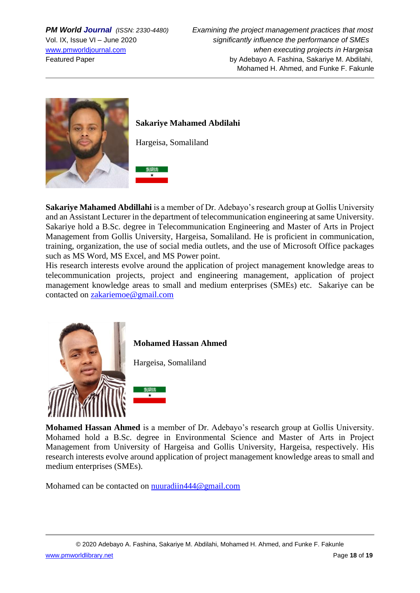

### **Sakariye Mahamed Abdilahi**

Hargeisa, Somaliland



**Sakariye Mahamed Abdillahi** is a member of Dr. Adebayo's research group at Gollis University and an Assistant Lecturer in the department of telecommunication engineering at same University. Sakariye hold a B.Sc. degree in Telecommunication Engineering and Master of Arts in Project Management from Gollis University, Hargeisa, Somaliland. He is proficient in communication, training, organization, the use of social media outlets, and the use of Microsoft Office packages such as MS Word, MS Excel, and MS Power point.

His research interests evolve around the application of project management knowledge areas to telecommunication projects, project and engineering management, application of project management knowledge areas to small and medium enterprises (SMEs) etc. Sakariye can be contacted on [zakariemoe@gmail.com](mailto:zakariemoe@gmail.com)



**Mohamed Hassan Ahmed**

Hargeisa, Somaliland



**Mohamed Hassan Ahmed** is a member of Dr. Adebayo's research group at Gollis University. Mohamed hold a B.Sc. degree in Environmental Science and Master of Arts in Project Management from University of Hargeisa and Gollis University, Hargeisa, respectively. His research interests evolve around application of project management knowledge areas to small and medium enterprises (SMEs).

Mohamed can be contacted on [nuuradiin444@gmail.com](mailto:nuuradiin444@gmail.com)